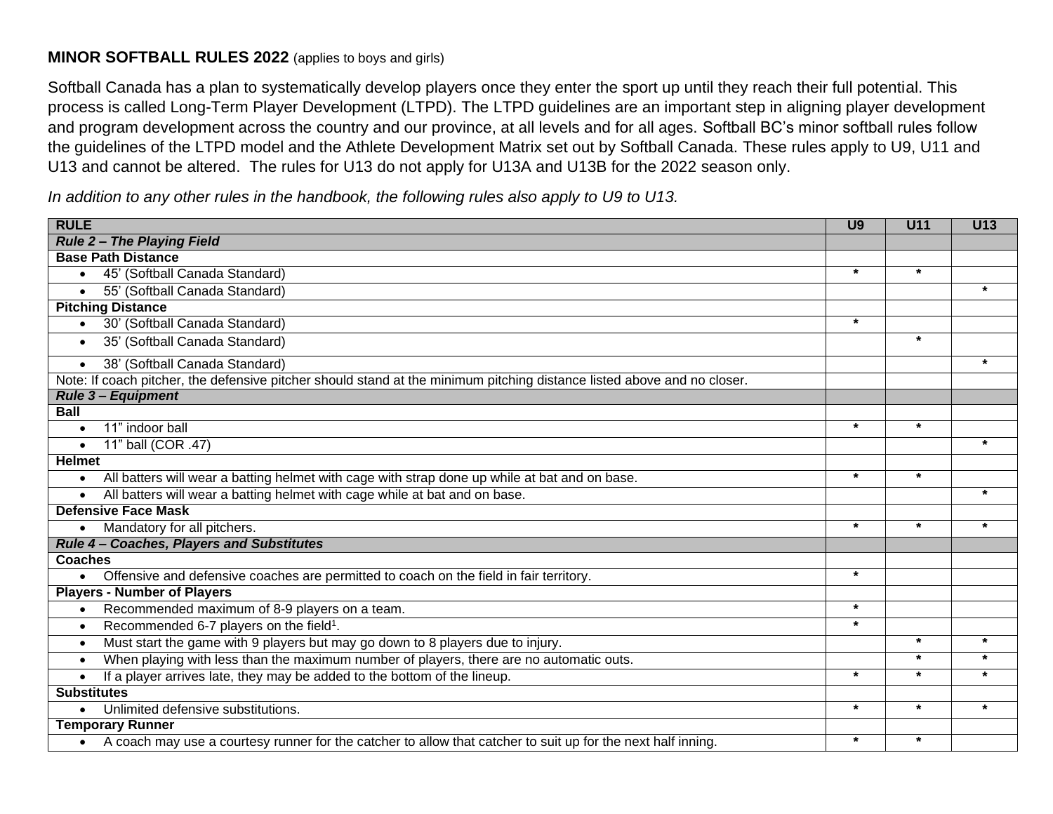## **MINOR SOFTBALL RULES 2022** (applies to boys and girls)

Softball Canada has a plan to systematically develop players once they enter the sport up until they reach their full potential. This process is called Long-Term Player Development (LTPD). The LTPD guidelines are an important step in aligning player development and program development across the country and our province, at all levels and for all ages. Softball BC's minor softball rules follow the guidelines of the LTPD model and the Athlete Development Matrix set out by Softball Canada. These rules apply to U9, U11 and U13 and cannot be altered. The rules for U13 do not apply for U13A and U13B for the 2022 season only.

*In addition to any other rules in the handbook, the following rules also apply to U9 to U13.*

| <b>RULE</b>                                                                                                               | U <sub>9</sub> | <b>U11</b> | U13     |
|---------------------------------------------------------------------------------------------------------------------------|----------------|------------|---------|
| <b>Rule 2- The Playing Field</b>                                                                                          |                |            |         |
| <b>Base Path Distance</b>                                                                                                 |                |            |         |
| 45' (Softball Canada Standard)<br>$\bullet$                                                                               | $\star$        | $\star$    |         |
| 55' (Softball Canada Standard)<br>$\bullet$                                                                               |                |            | $\star$ |
| <b>Pitching Distance</b>                                                                                                  |                |            |         |
| 30' (Softball Canada Standard)<br>$\bullet$                                                                               | $\star$        |            |         |
| 35' (Softball Canada Standard)<br>$\bullet$                                                                               |                | $\star$    |         |
| 38' (Softball Canada Standard)<br>$\bullet$                                                                               |                |            | $\star$ |
| Note: If coach pitcher, the defensive pitcher should stand at the minimum pitching distance listed above and no closer.   |                |            |         |
| <b>Rule 3- Equipment</b>                                                                                                  |                |            |         |
| <b>Ball</b>                                                                                                               |                |            |         |
| 11" indoor ball<br>$\bullet$                                                                                              | $\star$        | $\star$    |         |
| 11" ball (COR .47)<br>$\bullet$                                                                                           |                |            | $\star$ |
| <b>Helmet</b>                                                                                                             |                |            |         |
| All batters will wear a batting helmet with cage with strap done up while at bat and on base.<br>$\bullet$                | $\star$        | $\star$    |         |
| All batters will wear a batting helmet with cage while at bat and on base.<br>$\bullet$                                   |                |            | $\star$ |
| <b>Defensive Face Mask</b>                                                                                                |                |            |         |
| Mandatory for all pitchers.<br>$\bullet$                                                                                  | $\star$        | $\star$    | $\star$ |
| Rule 4 - Coaches, Players and Substitutes                                                                                 |                |            |         |
| <b>Coaches</b>                                                                                                            |                |            |         |
| Offensive and defensive coaches are permitted to coach on the field in fair territory.<br>$\bullet$                       | $\ast$         |            |         |
| <b>Players - Number of Players</b>                                                                                        |                |            |         |
| Recommended maximum of 8-9 players on a team.<br>$\bullet$                                                                | $\star$        |            |         |
| Recommended 6-7 players on the field <sup>1</sup> .<br>$\bullet$                                                          | $\star$        |            |         |
| Must start the game with 9 players but may go down to 8 players due to injury.<br>$\bullet$                               |                | $\star$    | $\star$ |
| When playing with less than the maximum number of players, there are no automatic outs.<br>$\bullet$                      |                | $\star$    | $\star$ |
| If a player arrives late, they may be added to the bottom of the lineup.<br>$\bullet$                                     | $\star$        | $\star$    | $\star$ |
| <b>Substitutes</b>                                                                                                        |                |            |         |
| Unlimited defensive substitutions.<br>$\bullet$                                                                           | $\star$        | $\star$    | $\star$ |
| <b>Temporary Runner</b>                                                                                                   |                |            |         |
| A coach may use a courtesy runner for the catcher to allow that catcher to suit up for the next half inning.<br>$\bullet$ | $\star$        | $\star$    |         |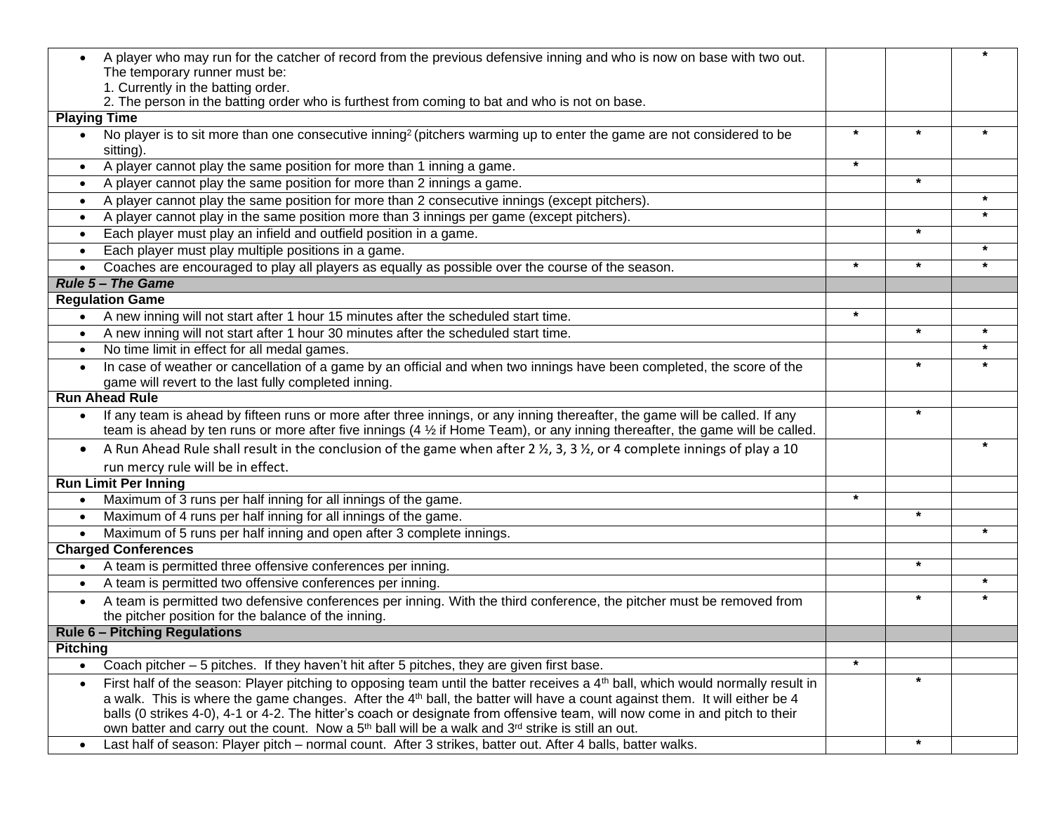|                     | A player who may run for the catcher of record from the previous defensive inning and who is now on base with two out.                      |         |         |         |
|---------------------|---------------------------------------------------------------------------------------------------------------------------------------------|---------|---------|---------|
|                     | The temporary runner must be:                                                                                                               |         |         |         |
|                     | 1. Currently in the batting order.                                                                                                          |         |         |         |
| <b>Playing Time</b> | 2. The person in the batting order who is furthest from coming to bat and who is not on base.                                               |         |         |         |
|                     | No player is to sit more than one consecutive inning <sup>2</sup> (pitchers warming up to enter the game are not considered to be           | $\star$ | $\star$ | $\star$ |
|                     | sitting).                                                                                                                                   |         |         |         |
| $\bullet$           | A player cannot play the same position for more than 1 inning a game.                                                                       | $\star$ |         |         |
|                     | A player cannot play the same position for more than 2 innings a game.                                                                      |         | *       |         |
| $\bullet$           | A player cannot play the same position for more than 2 consecutive innings (except pitchers).                                               |         |         | $\star$ |
| $\bullet$           | A player cannot play in the same position more than 3 innings per game (except pitchers).                                                   |         |         |         |
| $\bullet$           | Each player must play an infield and outfield position in a game.                                                                           |         | $\star$ |         |
| $\bullet$           | Each player must play multiple positions in a game.                                                                                         |         |         | $\star$ |
|                     | Coaches are encouraged to play all players as equally as possible over the course of the season.                                            | $\star$ | $\star$ | $\star$ |
|                     | <b>Rule 5 - The Game</b>                                                                                                                    |         |         |         |
|                     | <b>Regulation Game</b>                                                                                                                      |         |         |         |
|                     | • A new inning will not start after 1 hour 15 minutes after the scheduled start time.                                                       | $\star$ |         |         |
| $\bullet$           | A new inning will not start after 1 hour 30 minutes after the scheduled start time.                                                         |         | *       | $\star$ |
| $\bullet$           | No time limit in effect for all medal games.                                                                                                |         |         | $\star$ |
|                     | In case of weather or cancellation of a game by an official and when two innings have been completed, the score of the                      |         | *       | $\star$ |
|                     | game will revert to the last fully completed inning.                                                                                        |         |         |         |
|                     | <b>Run Ahead Rule</b>                                                                                                                       |         |         |         |
|                     | If any team is ahead by fifteen runs or more after three innings, or any inning thereafter, the game will be called. If any                 |         | *       |         |
|                     | team is ahead by ten runs or more after five innings (4 $\frac{1}{2}$ if Home Team), or any inning thereafter, the game will be called.     |         |         |         |
| $\bullet$           | A Run Ahead Rule shall result in the conclusion of the game when after 2 1/2, 3, 3 1/2, or 4 complete innings of play a 10                  |         |         |         |
|                     | run mercy rule will be in effect.                                                                                                           |         |         |         |
|                     | <b>Run Limit Per Inning</b>                                                                                                                 |         |         |         |
| $\bullet$           | Maximum of 3 runs per half inning for all innings of the game.                                                                              | $\star$ |         |         |
| $\bullet$           | Maximum of 4 runs per half inning for all innings of the game.                                                                              |         | $\star$ |         |
|                     | Maximum of 5 runs per half inning and open after 3 complete innings.                                                                        |         |         | $\star$ |
|                     | <b>Charged Conferences</b>                                                                                                                  |         |         |         |
|                     | A team is permitted three offensive conferences per inning.                                                                                 |         | *       |         |
| $\bullet$           | A team is permitted two offensive conferences per inning.                                                                                   |         |         | $\star$ |
| $\bullet$           | A team is permitted two defensive conferences per inning. With the third conference, the pitcher must be removed from                       |         | $\star$ |         |
|                     | the pitcher position for the balance of the inning.                                                                                         |         |         |         |
|                     | <b>Rule 6 - Pitching Regulations</b>                                                                                                        |         |         |         |
| <b>Pitching</b>     |                                                                                                                                             |         |         |         |
| $\bullet$           | Coach pitcher - 5 pitches. If they haven't hit after 5 pitches, they are given first base.                                                  | $\star$ |         |         |
| $\bullet$           | First half of the season: Player pitching to opposing team until the batter receives a 4 <sup>th</sup> ball, which would normally result in |         | *       |         |
|                     | a walk. This is where the game changes. After the 4 <sup>th</sup> ball, the batter will have a count against them. It will either be 4      |         |         |         |
|                     | balls (0 strikes 4-0), 4-1 or 4-2. The hitter's coach or designate from offensive team, will now come in and pitch to their                 |         |         |         |
|                     | own batter and carry out the count. Now a $5th$ ball will be a walk and $3rd$ strike is still an out.                                       |         |         |         |
| $\bullet$           | Last half of season: Player pitch - normal count. After 3 strikes, batter out. After 4 balls, batter walks.                                 |         | $\star$ |         |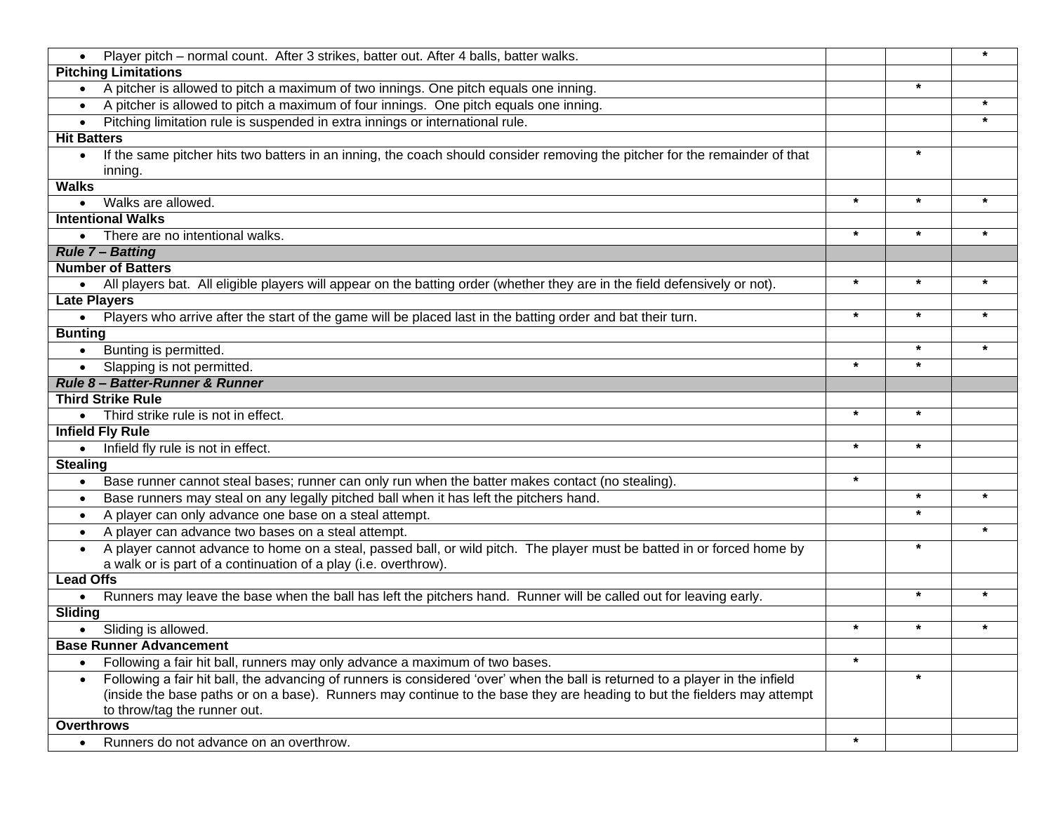| Player pitch - normal count. After 3 strikes, batter out. After 4 balls, batter walks.                                                   |         |         | *       |
|------------------------------------------------------------------------------------------------------------------------------------------|---------|---------|---------|
| <b>Pitching Limitations</b>                                                                                                              |         |         |         |
| A pitcher is allowed to pitch a maximum of two innings. One pitch equals one inning.                                                     |         | $\star$ |         |
| A pitcher is allowed to pitch a maximum of four innings. One pitch equals one inning.                                                    |         |         | $\star$ |
| Pitching limitation rule is suspended in extra innings or international rule.<br>$\bullet$                                               |         |         |         |
| <b>Hit Batters</b>                                                                                                                       |         |         |         |
| If the same pitcher hits two batters in an inning, the coach should consider removing the pitcher for the remainder of that<br>$\bullet$ |         | $\star$ |         |
| inning.                                                                                                                                  |         |         |         |
| <b>Walks</b>                                                                                                                             |         |         |         |
| Walks are allowed.                                                                                                                       | $\star$ | $\star$ | $\star$ |
| <b>Intentional Walks</b>                                                                                                                 |         |         |         |
| There are no intentional walks.<br>$\bullet$                                                                                             | $\star$ | $\star$ | $\star$ |
| <b>Rule 7 - Batting</b>                                                                                                                  |         |         |         |
| <b>Number of Batters</b>                                                                                                                 |         |         |         |
| • All players bat. All eligible players will appear on the batting order (whether they are in the field defensively or not).             | $\star$ | $\star$ | *       |
| <b>Late Players</b>                                                                                                                      |         |         |         |
| . Players who arrive after the start of the game will be placed last in the batting order and bat their turn.                            | $\star$ | $\star$ | *       |
| <b>Bunting</b>                                                                                                                           |         |         |         |
| Bunting is permitted.<br>$\bullet$                                                                                                       |         | $\star$ | *       |
| Slapping is not permitted.<br>$\bullet$                                                                                                  | $\star$ | $\star$ |         |
| Rule 8- Batter-Runner & Runner                                                                                                           |         |         |         |
| <b>Third Strike Rule</b>                                                                                                                 |         |         |         |
| Third strike rule is not in effect.                                                                                                      | $\star$ | $\star$ |         |
| <b>Infield Fly Rule</b>                                                                                                                  |         |         |         |
| Infield fly rule is not in effect.                                                                                                       | $\star$ | $\star$ |         |
| <b>Stealing</b>                                                                                                                          |         |         |         |
| Base runner cannot steal bases; runner can only run when the batter makes contact (no stealing).                                         | $\star$ |         |         |
| Base runners may steal on any legally pitched ball when it has left the pitchers hand.<br>$\bullet$                                      |         | $\star$ | *       |
| A player can only advance one base on a steal attempt.<br>$\bullet$                                                                      |         | $\star$ |         |
| A player can advance two bases on a steal attempt.<br>$\bullet$                                                                          |         |         | $\star$ |
| A player cannot advance to home on a steal, passed ball, or wild pitch. The player must be batted in or forced home by<br>$\bullet$      |         | $\star$ |         |
| a walk or is part of a continuation of a play (i.e. overthrow).                                                                          |         |         |         |
| <b>Lead Offs</b>                                                                                                                         |         |         |         |
| Runners may leave the base when the ball has left the pitchers hand. Runner will be called out for leaving early.<br>$\bullet$           |         | $\star$ | *       |
| <b>Sliding</b>                                                                                                                           |         |         |         |
| • Sliding is allowed.                                                                                                                    | $\star$ | $\star$ | *       |
| <b>Base Runner Advancement</b>                                                                                                           |         |         |         |
| Following a fair hit ball, runners may only advance a maximum of two bases.                                                              | $\star$ |         |         |
| Following a fair hit ball, the advancing of runners is considered 'over' when the ball is returned to a player in the infield            |         | $\star$ |         |
| (inside the base paths or on a base). Runners may continue to the base they are heading to but the fielders may attempt                  |         |         |         |
| to throw/tag the runner out.                                                                                                             |         |         |         |
| <b>Overthrows</b>                                                                                                                        | $\star$ |         |         |
| Runners do not advance on an overthrow.<br>$\bullet$                                                                                     |         |         |         |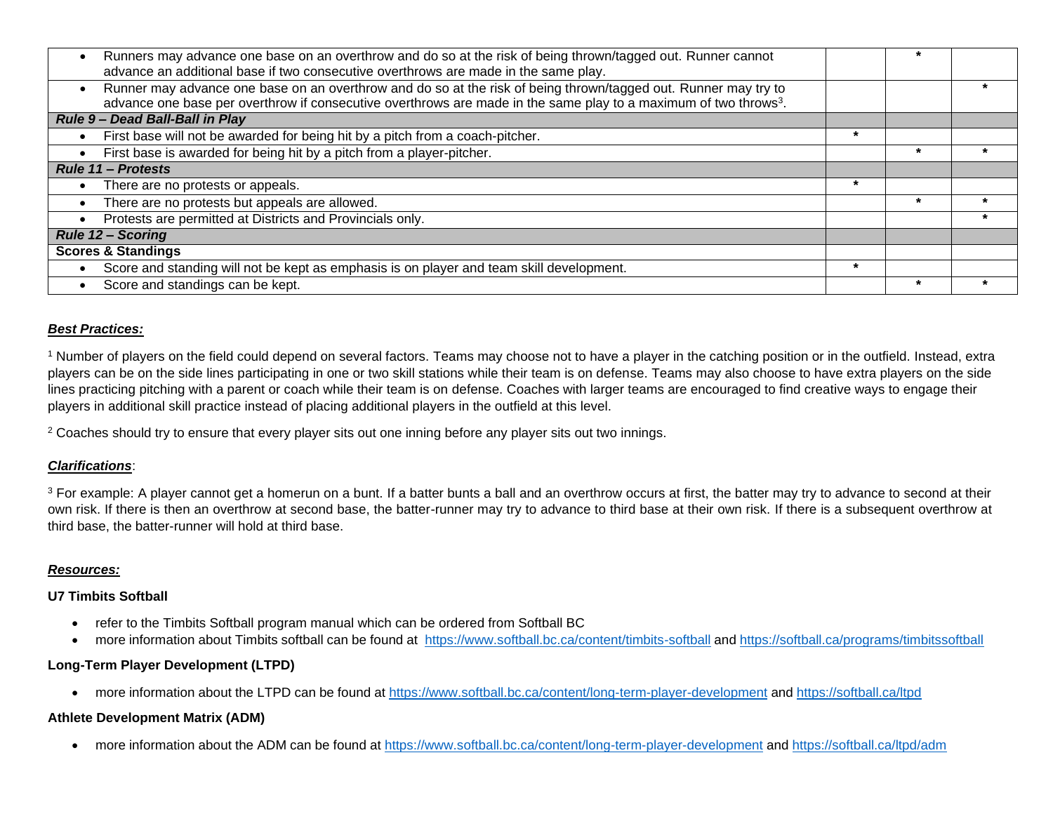| Runners may advance one base on an overthrow and do so at the risk of being thrown/tagged out. Runner cannot                 |         |  |
|------------------------------------------------------------------------------------------------------------------------------|---------|--|
| advance an additional base if two consecutive overthrows are made in the same play.                                          |         |  |
| Runner may advance one base on an overthrow and do so at the risk of being thrown/tagged out. Runner may try to              |         |  |
| advance one base per overthrow if consecutive overthrows are made in the same play to a maximum of two throws <sup>3</sup> . |         |  |
| Rule 9 - Dead Ball-Ball in Play                                                                                              |         |  |
| First base will not be awarded for being hit by a pitch from a coach-pitcher.                                                | $\ast$  |  |
| First base is awarded for being hit by a pitch from a player-pitcher.                                                        |         |  |
| <b>Rule 11 - Protests</b>                                                                                                    |         |  |
| There are no protests or appeals.                                                                                            | $\star$ |  |
| There are no protests but appeals are allowed.                                                                               |         |  |
| Protests are permitted at Districts and Provincials only.                                                                    |         |  |
| <b>Rule 12 - Scoring</b>                                                                                                     |         |  |
| <b>Scores &amp; Standings</b>                                                                                                |         |  |
| Score and standing will not be kept as emphasis is on player and team skill development.                                     | $\star$ |  |
| Score and standings can be kept.                                                                                             |         |  |

#### *Best Practices:*

<sup>1</sup> Number of players on the field could depend on several factors. Teams may choose not to have a player in the catching position or in the outfield. Instead, extra players can be on the side lines participating in one or two skill stations while their team is on defense. Teams may also choose to have extra players on the side lines practicing pitching with a parent or coach while their team is on defense. Coaches with larger teams are encouraged to find creative ways to engage their players in additional skill practice instead of placing additional players in the outfield at this level.

<sup>2</sup> Coaches should try to ensure that every player sits out one inning before any player sits out two innings.

### *Clarifications*:

<sup>3</sup> For example: A player cannot get a homerun on a bunt. If a batter bunts a ball and an overthrow occurs at first, the batter may try to advance to second at their own risk. If there is then an overthrow at second base, the batter-runner may try to advance to third base at their own risk. If there is a subsequent overthrow at third base, the batter-runner will hold at third base.

#### *Resources:*

#### **U7 Timbits Softball**

- refer to the Timbits Softball program manual which can be ordered from Softball BC
- more information about Timbits softball can be found at https:/[/www.softball.bc.ca/content/timbits-softball](http://www.softball.bc.ca/content/timbits-softball) and https://softball.ca/programs/timbitssoftball

## **Long-Term Player Development (LTPD)**

• more information about the LTPD can be found at https:/[/www.softball.bc.ca/content/long-term-player-development](http://www.softball.bc.ca/content/long-term-player-development) and https://softball.ca/ltpd

#### **Athlete Development Matrix (ADM)**

• more information about the ADM can be found at https:/[/www.softball.bc.ca/content/long-term-player-development](http://www.softball.bc.ca/content/long-term-player-development) and https://softball.ca/ltpd/adm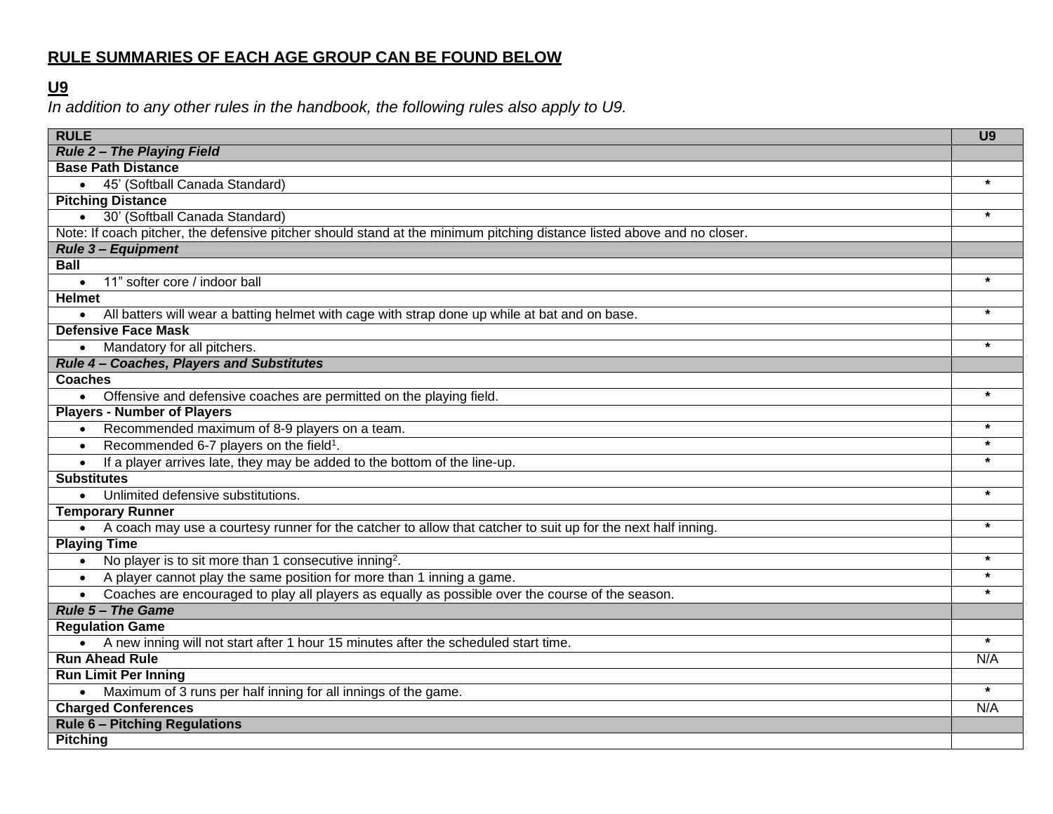# **RULE SUMMARIES OF EACH AGE GROUP CAN BE FOUND BELOW**

## **U9**

*In addition to any other rules in the handbook, the following rules also apply to U9.*

| <b>RULE</b>                                                                                                             | U <sub>9</sub> |
|-------------------------------------------------------------------------------------------------------------------------|----------------|
| <b>Rule 2- The Playing Field</b>                                                                                        |                |
| <b>Base Path Distance</b>                                                                                               |                |
| • 45' (Softball Canada Standard)                                                                                        | $\star$        |
| <b>Pitching Distance</b>                                                                                                |                |
| · 30' (Softball Canada Standard)                                                                                        | $\star$        |
| Note: If coach pitcher, the defensive pitcher should stand at the minimum pitching distance listed above and no closer. |                |
| <b>Rule 3- Equipment</b>                                                                                                |                |
| <b>Ball</b>                                                                                                             |                |
| 11" softer core / indoor ball                                                                                           | $\star$        |
| <b>Helmet</b>                                                                                                           |                |
| All batters will wear a batting helmet with cage with strap done up while at bat and on base.                           |                |
| <b>Defensive Face Mask</b>                                                                                              |                |
| Mandatory for all pitchers.                                                                                             |                |
| Rule 4 - Coaches, Players and Substitutes                                                                               |                |
| <b>Coaches</b>                                                                                                          |                |
| Offensive and defensive coaches are permitted on the playing field.                                                     | $\star$        |
| <b>Players - Number of Players</b>                                                                                      |                |
| Recommended maximum of 8-9 players on a team.                                                                           |                |
| Recommended 6-7 players on the field <sup>1</sup> .<br>$\bullet$                                                        | $\star$        |
| If a player arrives late, they may be added to the bottom of the line-up.<br>$\bullet$                                  |                |
| <b>Substitutes</b>                                                                                                      |                |
| Unlimited defensive substitutions.                                                                                      | $\star$        |
| <b>Temporary Runner</b>                                                                                                 |                |
| • A coach may use a courtesy runner for the catcher to allow that catcher to suit up for the next half inning.          | $\star$        |
| <b>Playing Time</b>                                                                                                     |                |
| No player is to sit more than 1 consecutive inning <sup>2</sup> .                                                       | $\star$        |
| A player cannot play the same position for more than 1 inning a game.<br>$\bullet$                                      | $\star$        |
| Coaches are encouraged to play all players as equally as possible over the course of the season.                        | $\star$        |
| <b>Rule 5 - The Game</b>                                                                                                |                |
| <b>Regulation Game</b>                                                                                                  |                |
| • A new inning will not start after 1 hour 15 minutes after the scheduled start time.                                   | $\star$        |
| <b>Run Ahead Rule</b>                                                                                                   | N/A            |
| <b>Run Limit Per Inning</b>                                                                                             |                |
| • Maximum of 3 runs per half inning for all innings of the game.                                                        | $\star$        |
| <b>Charged Conferences</b>                                                                                              | N/A            |
| <b>Rule 6 - Pitching Regulations</b>                                                                                    |                |
| <b>Pitching</b>                                                                                                         |                |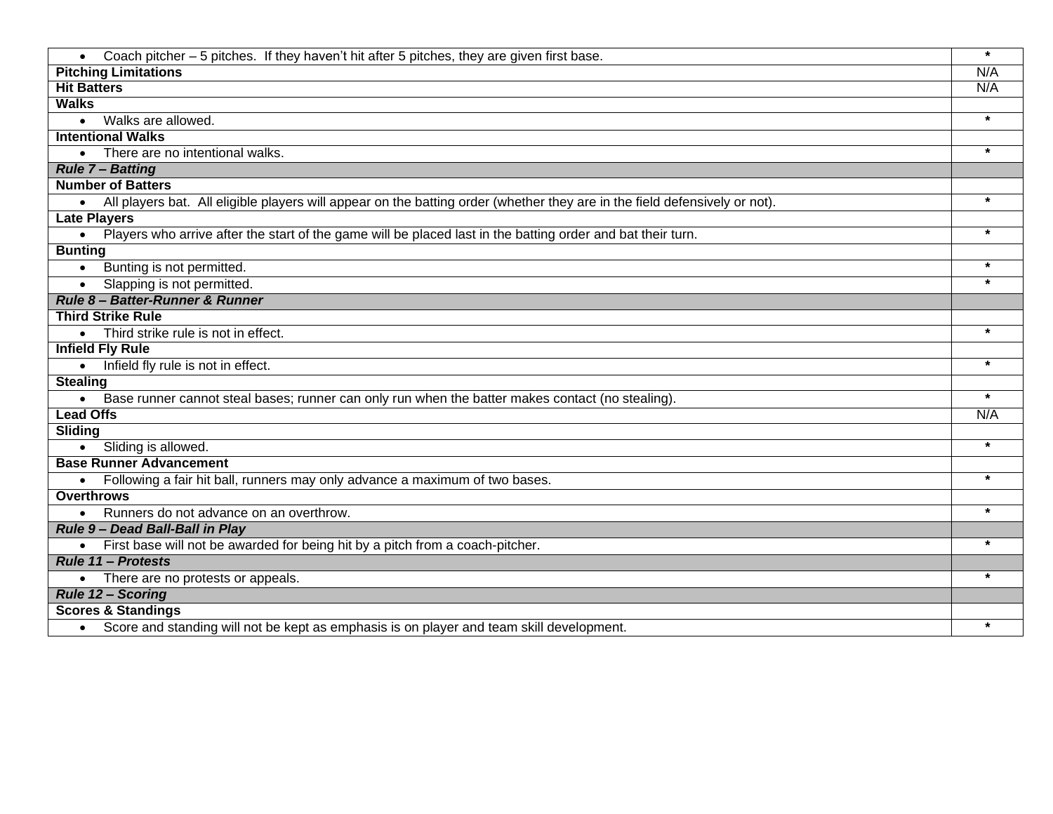| Coach pitcher - 5 pitches. If they haven't hit after 5 pitches, they are given first base.                                   | $\star$ |
|------------------------------------------------------------------------------------------------------------------------------|---------|
| <b>Pitching Limitations</b>                                                                                                  | N/A     |
| <b>Hit Batters</b>                                                                                                           | N/A     |
| <b>Walks</b>                                                                                                                 |         |
| Walks are allowed.<br>$\bullet$                                                                                              | $\star$ |
| <b>Intentional Walks</b>                                                                                                     |         |
| There are no intentional walks.<br>$\bullet$                                                                                 | $\star$ |
| <b>Rule 7 - Batting</b>                                                                                                      |         |
| <b>Number of Batters</b>                                                                                                     |         |
| • All players bat. All eligible players will appear on the batting order (whether they are in the field defensively or not). | $\star$ |
| <b>Late Players</b>                                                                                                          |         |
| . Players who arrive after the start of the game will be placed last in the batting order and bat their turn.                | $\star$ |
| <b>Bunting</b>                                                                                                               |         |
| Bunting is not permitted.                                                                                                    | $\star$ |
| Slapping is not permitted.<br>$\bullet$                                                                                      | $\star$ |
| Rule 8- Batter-Runner & Runner                                                                                               |         |
| <b>Third Strike Rule</b>                                                                                                     |         |
| Third strike rule is not in effect.                                                                                          | $\star$ |
| <b>Infield Fly Rule</b>                                                                                                      |         |
| Infield fly rule is not in effect.                                                                                           | $\star$ |
| <b>Stealing</b>                                                                                                              |         |
| Base runner cannot steal bases; runner can only run when the batter makes contact (no stealing).                             | $\star$ |
| <b>Lead Offs</b>                                                                                                             | N/A     |
| Sliding                                                                                                                      |         |
| Sliding is allowed.<br>$\bullet$                                                                                             | $\star$ |
| <b>Base Runner Advancement</b>                                                                                               |         |
| Following a fair hit ball, runners may only advance a maximum of two bases.                                                  | $\star$ |
| <b>Overthrows</b>                                                                                                            |         |
| Runners do not advance on an overthrow.                                                                                      | $\star$ |
| Rule 9 - Dead Ball-Ball in Play                                                                                              |         |
| First base will not be awarded for being hit by a pitch from a coach-pitcher.                                                |         |
| <b>Rule 11 - Protests</b>                                                                                                    |         |
| There are no protests or appeals.                                                                                            |         |
| <b>Rule 12 - Scoring</b>                                                                                                     |         |
| <b>Scores &amp; Standings</b>                                                                                                |         |
| Score and standing will not be kept as emphasis is on player and team skill development.                                     |         |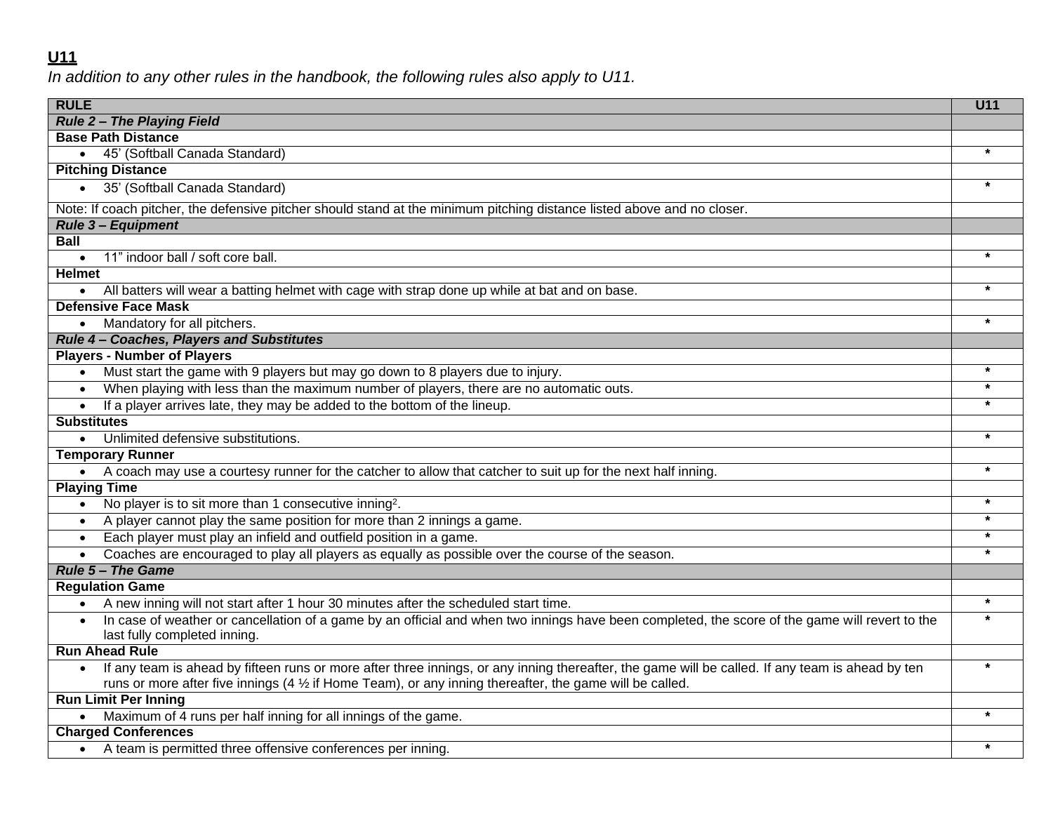## **U11**

*In addition to any other rules in the handbook, the following rules also apply to U11.*

| <b>RULE</b>                                                                                                                                      | U11     |
|--------------------------------------------------------------------------------------------------------------------------------------------------|---------|
| <b>Rule 2- The Playing Field</b>                                                                                                                 |         |
| <b>Base Path Distance</b>                                                                                                                        |         |
| 45' (Softball Canada Standard)                                                                                                                   |         |
| <b>Pitching Distance</b>                                                                                                                         |         |
| • 35' (Softball Canada Standard)                                                                                                                 | $\star$ |
| Note: If coach pitcher, the defensive pitcher should stand at the minimum pitching distance listed above and no closer.                          |         |
| <b>Rule 3 - Equipment</b>                                                                                                                        |         |
| <b>Ball</b>                                                                                                                                      |         |
| 11" indoor ball / soft core ball.<br>$\bullet$                                                                                                   | $\star$ |
| <b>Helmet</b>                                                                                                                                    |         |
| All batters will wear a batting helmet with cage with strap done up while at bat and on base.<br>$\bullet$                                       |         |
| <b>Defensive Face Mask</b>                                                                                                                       |         |
| Mandatory for all pitchers.<br>$\bullet$                                                                                                         | $\star$ |
| Rule 4 - Coaches, Players and Substitutes                                                                                                        |         |
| <b>Players - Number of Players</b>                                                                                                               |         |
| Must start the game with 9 players but may go down to 8 players due to injury.<br>$\bullet$                                                      | $\star$ |
| When playing with less than the maximum number of players, there are no automatic outs.<br>$\bullet$                                             | $\star$ |
| If a player arrives late, they may be added to the bottom of the lineup.<br>$\bullet$                                                            | $\star$ |
| <b>Substitutes</b>                                                                                                                               |         |
| Unlimited defensive substitutions.<br>$\bullet$                                                                                                  | $\star$ |
| <b>Temporary Runner</b>                                                                                                                          |         |
| • A coach may use a courtesy runner for the catcher to allow that catcher to suit up for the next half inning.                                   |         |
| <b>Playing Time</b>                                                                                                                              |         |
| No player is to sit more than 1 consecutive inning <sup>2</sup> .<br>$\bullet$                                                                   | $\star$ |
| A player cannot play the same position for more than 2 innings a game.<br>$\bullet$                                                              | $\star$ |
| Each player must play an infield and outfield position in a game.<br>$\bullet$                                                                   | $\star$ |
| Coaches are encouraged to play all players as equally as possible over the course of the season.                                                 |         |
| <b>Rule 5 - The Game</b>                                                                                                                         |         |
| <b>Regulation Game</b>                                                                                                                           |         |
| A new inning will not start after 1 hour 30 minutes after the scheduled start time.<br>$\bullet$                                                 | $\star$ |
| In case of weather or cancellation of a game by an official and when two innings have been completed, the score of the game will revert to the   |         |
| last fully completed inning.                                                                                                                     |         |
| <b>Run Ahead Rule</b>                                                                                                                            |         |
| If any team is ahead by fifteen runs or more after three innings, or any inning thereafter, the game will be called. If any team is ahead by ten | $\star$ |
| runs or more after five innings $(4 \frac{1}{2})$ if Home Team), or any inning thereafter, the game will be called.                              |         |
| <b>Run Limit Per Inning</b>                                                                                                                      |         |
| Maximum of 4 runs per half inning for all innings of the game.                                                                                   | $\star$ |
| <b>Charged Conferences</b>                                                                                                                       |         |
| • A team is permitted three offensive conferences per inning.                                                                                    | $\star$ |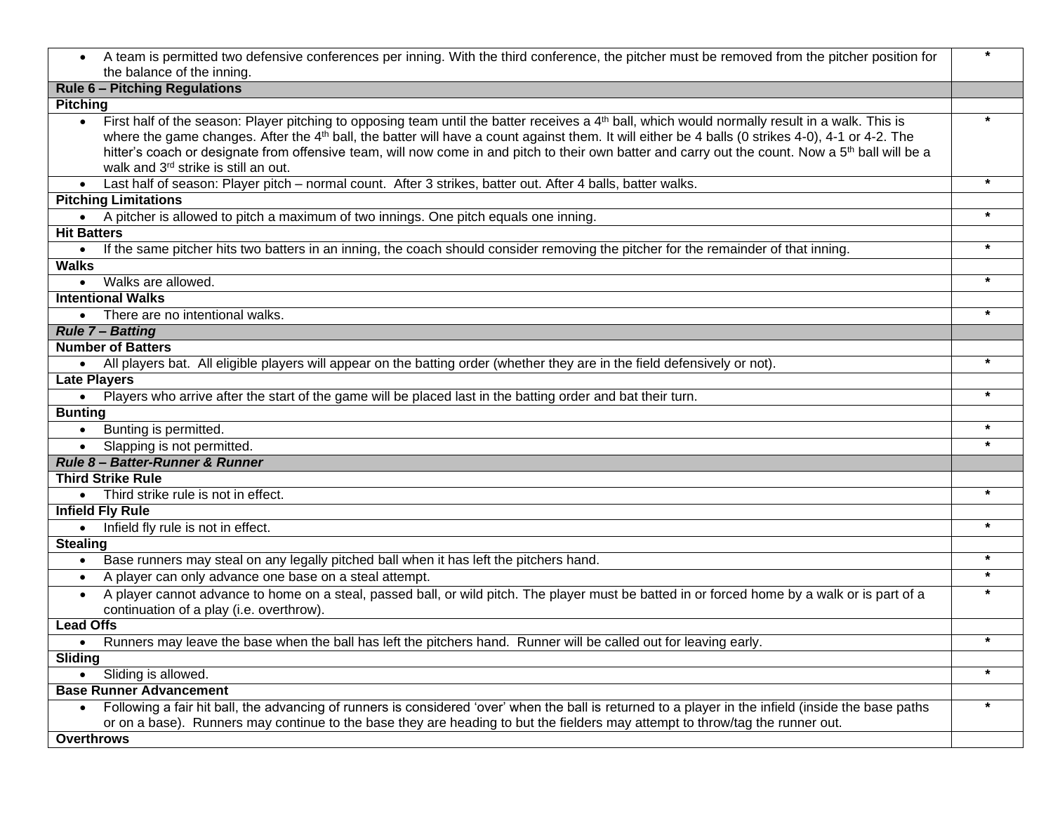| A team is permitted two defensive conferences per inning. With the third conference, the pitcher must be removed from the pitcher position for<br>$\bullet$<br>the balance of the inning.                                                                                                                                                                                                                                                                                                                                              | $\star$ |
|----------------------------------------------------------------------------------------------------------------------------------------------------------------------------------------------------------------------------------------------------------------------------------------------------------------------------------------------------------------------------------------------------------------------------------------------------------------------------------------------------------------------------------------|---------|
| <b>Rule 6 - Pitching Regulations</b>                                                                                                                                                                                                                                                                                                                                                                                                                                                                                                   |         |
| <b>Pitching</b>                                                                                                                                                                                                                                                                                                                                                                                                                                                                                                                        |         |
| First half of the season: Player pitching to opposing team until the batter receives a 4th ball, which would normally result in a walk. This is<br>$\bullet$<br>where the game changes. After the 4 <sup>th</sup> ball, the batter will have a count against them. It will either be 4 balls (0 strikes 4-0), 4-1 or 4-2. The<br>hitter's coach or designate from offensive team, will now come in and pitch to their own batter and carry out the count. Now a 5 <sup>th</sup> ball will be a<br>walk and 3rd strike is still an out. |         |
| Last half of season: Player pitch - normal count. After 3 strikes, batter out. After 4 balls, batter walks.                                                                                                                                                                                                                                                                                                                                                                                                                            | $\star$ |
| <b>Pitching Limitations</b>                                                                                                                                                                                                                                                                                                                                                                                                                                                                                                            |         |
| • A pitcher is allowed to pitch a maximum of two innings. One pitch equals one inning.                                                                                                                                                                                                                                                                                                                                                                                                                                                 |         |
| <b>Hit Batters</b>                                                                                                                                                                                                                                                                                                                                                                                                                                                                                                                     |         |
| If the same pitcher hits two batters in an inning, the coach should consider removing the pitcher for the remainder of that inning.<br>$\bullet$                                                                                                                                                                                                                                                                                                                                                                                       | $\star$ |
| <b>Walks</b>                                                                                                                                                                                                                                                                                                                                                                                                                                                                                                                           |         |
| Walks are allowed.<br>$\bullet$                                                                                                                                                                                                                                                                                                                                                                                                                                                                                                        | $\star$ |
| <b>Intentional Walks</b>                                                                                                                                                                                                                                                                                                                                                                                                                                                                                                               |         |
| • There are no intentional walks.                                                                                                                                                                                                                                                                                                                                                                                                                                                                                                      | $\star$ |
| <b>Rule 7 - Batting</b>                                                                                                                                                                                                                                                                                                                                                                                                                                                                                                                |         |
| <b>Number of Batters</b>                                                                                                                                                                                                                                                                                                                                                                                                                                                                                                               |         |
| • All players bat. All eligible players will appear on the batting order (whether they are in the field defensively or not).                                                                                                                                                                                                                                                                                                                                                                                                           | $\star$ |
| <b>Late Players</b>                                                                                                                                                                                                                                                                                                                                                                                                                                                                                                                    |         |
| . Players who arrive after the start of the game will be placed last in the batting order and bat their turn.                                                                                                                                                                                                                                                                                                                                                                                                                          | $\star$ |
| <b>Bunting</b>                                                                                                                                                                                                                                                                                                                                                                                                                                                                                                                         | $\star$ |
| Bunting is permitted.<br>$\bullet$                                                                                                                                                                                                                                                                                                                                                                                                                                                                                                     | $\star$ |
| Slapping is not permitted.<br>$\bullet$                                                                                                                                                                                                                                                                                                                                                                                                                                                                                                |         |
| Rule 8- Batter-Runner & Runner                                                                                                                                                                                                                                                                                                                                                                                                                                                                                                         |         |
| <b>Third Strike Rule</b>                                                                                                                                                                                                                                                                                                                                                                                                                                                                                                               | $\star$ |
| Third strike rule is not in effect.                                                                                                                                                                                                                                                                                                                                                                                                                                                                                                    |         |
| <b>Infield Fly Rule</b>                                                                                                                                                                                                                                                                                                                                                                                                                                                                                                                | $\star$ |
| Infield fly rule is not in effect.<br>$\bullet$<br><b>Stealing</b>                                                                                                                                                                                                                                                                                                                                                                                                                                                                     |         |
| Base runners may steal on any legally pitched ball when it has left the pitchers hand.                                                                                                                                                                                                                                                                                                                                                                                                                                                 | $\star$ |
| $\bullet$<br>A player can only advance one base on a steal attempt.                                                                                                                                                                                                                                                                                                                                                                                                                                                                    | $\star$ |
| $\bullet$<br>A player cannot advance to home on a steal, passed ball, or wild pitch. The player must be batted in or forced home by a walk or is part of a                                                                                                                                                                                                                                                                                                                                                                             | $\star$ |
| $\bullet$<br>continuation of a play (i.e. overthrow).                                                                                                                                                                                                                                                                                                                                                                                                                                                                                  |         |
| <b>Lead Offs</b>                                                                                                                                                                                                                                                                                                                                                                                                                                                                                                                       |         |
| Runners may leave the base when the ball has left the pitchers hand. Runner will be called out for leaving early.                                                                                                                                                                                                                                                                                                                                                                                                                      | $\star$ |
| Sliding                                                                                                                                                                                                                                                                                                                                                                                                                                                                                                                                |         |
| Sliding is allowed.<br>$\bullet$                                                                                                                                                                                                                                                                                                                                                                                                                                                                                                       | $\star$ |
| <b>Base Runner Advancement</b>                                                                                                                                                                                                                                                                                                                                                                                                                                                                                                         |         |
| Following a fair hit ball, the advancing of runners is considered 'over' when the ball is returned to a player in the infield (inside the base paths<br>$\bullet$<br>or on a base). Runners may continue to the base they are heading to but the fielders may attempt to throw/tag the runner out.                                                                                                                                                                                                                                     | $\star$ |
| <b>Overthrows</b>                                                                                                                                                                                                                                                                                                                                                                                                                                                                                                                      |         |
|                                                                                                                                                                                                                                                                                                                                                                                                                                                                                                                                        |         |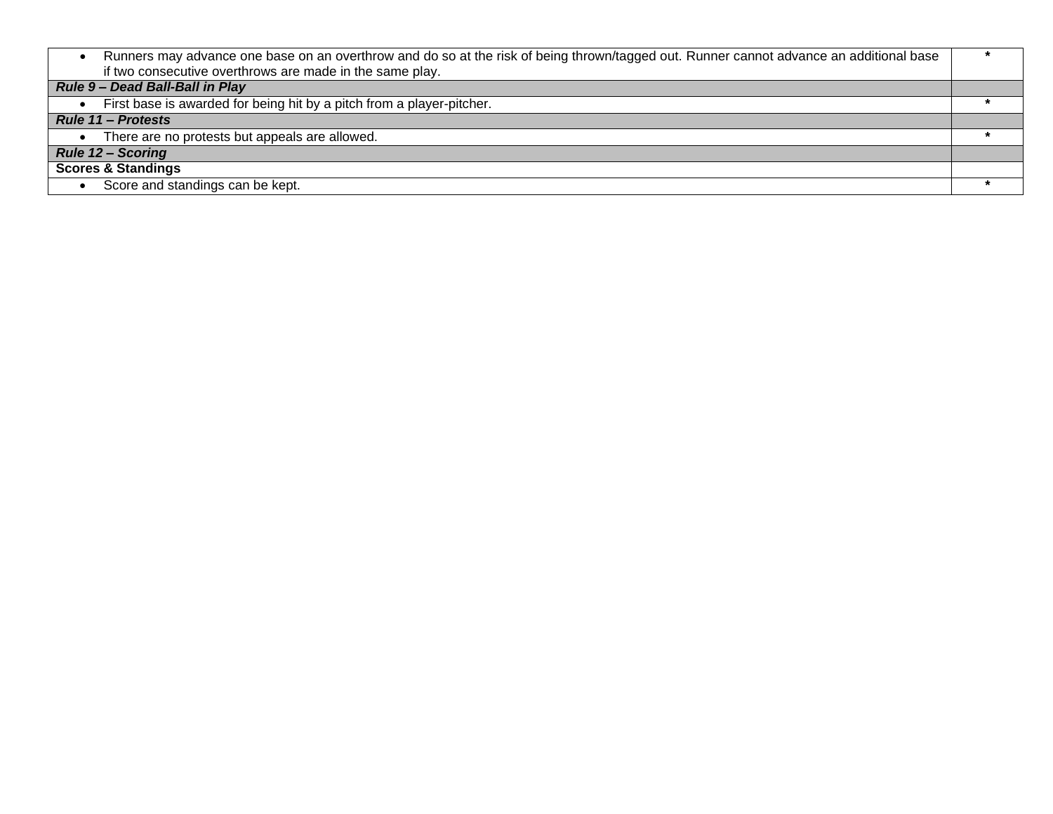| Runners may advance one base on an overthrow and do so at the risk of being thrown/tagged out. Runner cannot advance an additional base |  |
|-----------------------------------------------------------------------------------------------------------------------------------------|--|
| if two consecutive overthrows are made in the same play.                                                                                |  |
| Rule 9 - Dead Ball-Ball in Play                                                                                                         |  |
| First base is awarded for being hit by a pitch from a player-pitcher.                                                                   |  |
| <b>Rule 11 – Protests</b>                                                                                                               |  |
| There are no protests but appeals are allowed.                                                                                          |  |
| <b>Rule 12 - Scoring</b>                                                                                                                |  |
| <b>Scores &amp; Standings</b>                                                                                                           |  |
| Score and standings can be kept.                                                                                                        |  |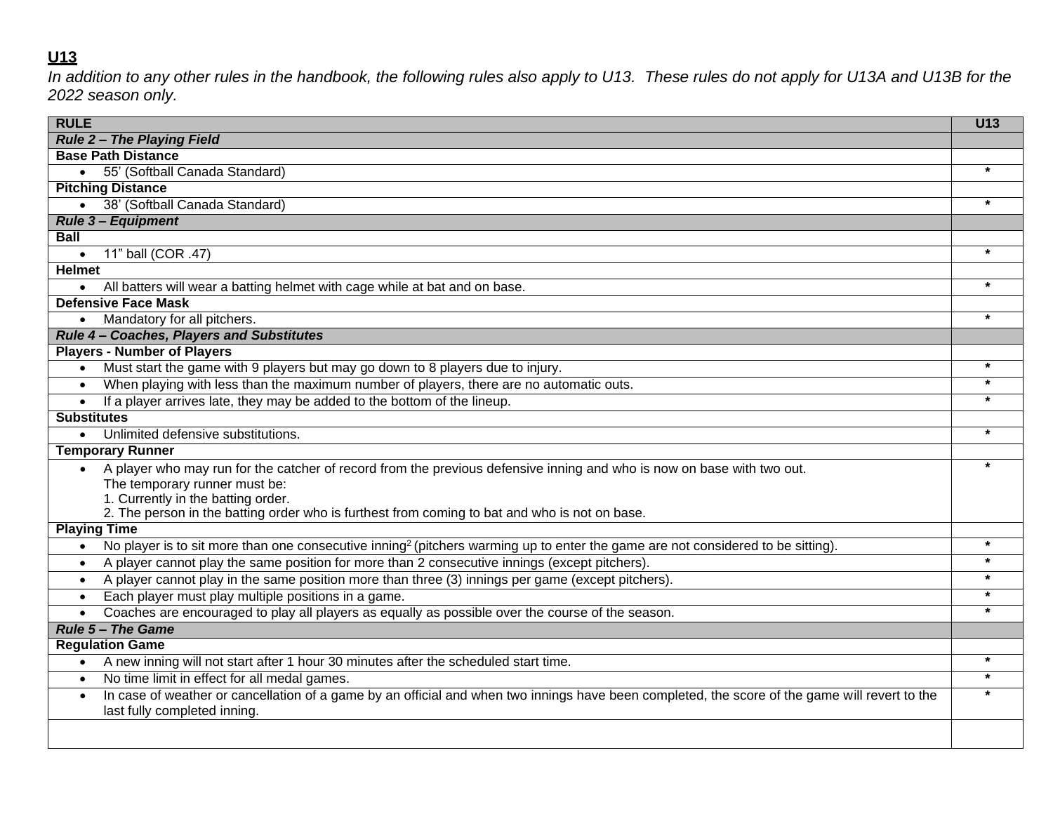# **U13**

*In addition to any other rules in the handbook, the following rules also apply to U13. These rules do not apply for U13A and U13B for the 2022 season only.*

| <b>RULE</b>                                                                                                                                                                                 | U13     |
|---------------------------------------------------------------------------------------------------------------------------------------------------------------------------------------------|---------|
| <b>Rule 2 - The Playing Field</b>                                                                                                                                                           |         |
| <b>Base Path Distance</b>                                                                                                                                                                   |         |
| 55' (Softball Canada Standard)<br>$\bullet$                                                                                                                                                 | $\star$ |
| <b>Pitching Distance</b>                                                                                                                                                                    |         |
| • 38' (Softball Canada Standard)                                                                                                                                                            | $\star$ |
| <b>Rule 3- Equipment</b>                                                                                                                                                                    |         |
| <b>Ball</b>                                                                                                                                                                                 |         |
| 11" ball (COR .47)                                                                                                                                                                          | $\star$ |
| <b>Helmet</b>                                                                                                                                                                               |         |
| All batters will wear a batting helmet with cage while at bat and on base.                                                                                                                  | $\star$ |
| <b>Defensive Face Mask</b>                                                                                                                                                                  |         |
| Mandatory for all pitchers.<br>$\bullet$                                                                                                                                                    | $\star$ |
| Rule 4 - Coaches, Players and Substitutes                                                                                                                                                   |         |
| <b>Players - Number of Players</b>                                                                                                                                                          |         |
| Must start the game with 9 players but may go down to 8 players due to injury.<br>$\bullet$                                                                                                 |         |
| When playing with less than the maximum number of players, there are no automatic outs.<br>$\bullet$                                                                                        | $\star$ |
| If a player arrives late, they may be added to the bottom of the lineup.<br>$\bullet$                                                                                                       |         |
| <b>Substitutes</b>                                                                                                                                                                          |         |
| Unlimited defensive substitutions.                                                                                                                                                          |         |
| <b>Temporary Runner</b>                                                                                                                                                                     |         |
| A player who may run for the catcher of record from the previous defensive inning and who is now on base with two out.<br>The temporary runner must be:                                     |         |
| 1. Currently in the batting order.                                                                                                                                                          |         |
| 2. The person in the batting order who is furthest from coming to bat and who is not on base.                                                                                               |         |
| <b>Playing Time</b>                                                                                                                                                                         |         |
| No player is to sit more than one consecutive inning <sup>2</sup> (pitchers warming up to enter the game are not considered to be sitting).<br>$\bullet$                                    | $\star$ |
| A player cannot play the same position for more than 2 consecutive innings (except pitchers).<br>$\bullet$                                                                                  |         |
| A player cannot play in the same position more than three (3) innings per game (except pitchers).<br>$\bullet$                                                                              |         |
| Each player must play multiple positions in a game.<br>$\bullet$                                                                                                                            |         |
| Coaches are encouraged to play all players as equally as possible over the course of the season.<br>$\bullet$                                                                               |         |
| <b>Rule 5 - The Game</b>                                                                                                                                                                    |         |
| <b>Regulation Game</b>                                                                                                                                                                      |         |
| A new inning will not start after 1 hour 30 minutes after the scheduled start time.                                                                                                         | $\star$ |
| No time limit in effect for all medal games.<br>$\bullet$                                                                                                                                   | $\star$ |
| In case of weather or cancellation of a game by an official and when two innings have been completed, the score of the game will revert to the<br>$\bullet$<br>last fully completed inning. |         |
|                                                                                                                                                                                             |         |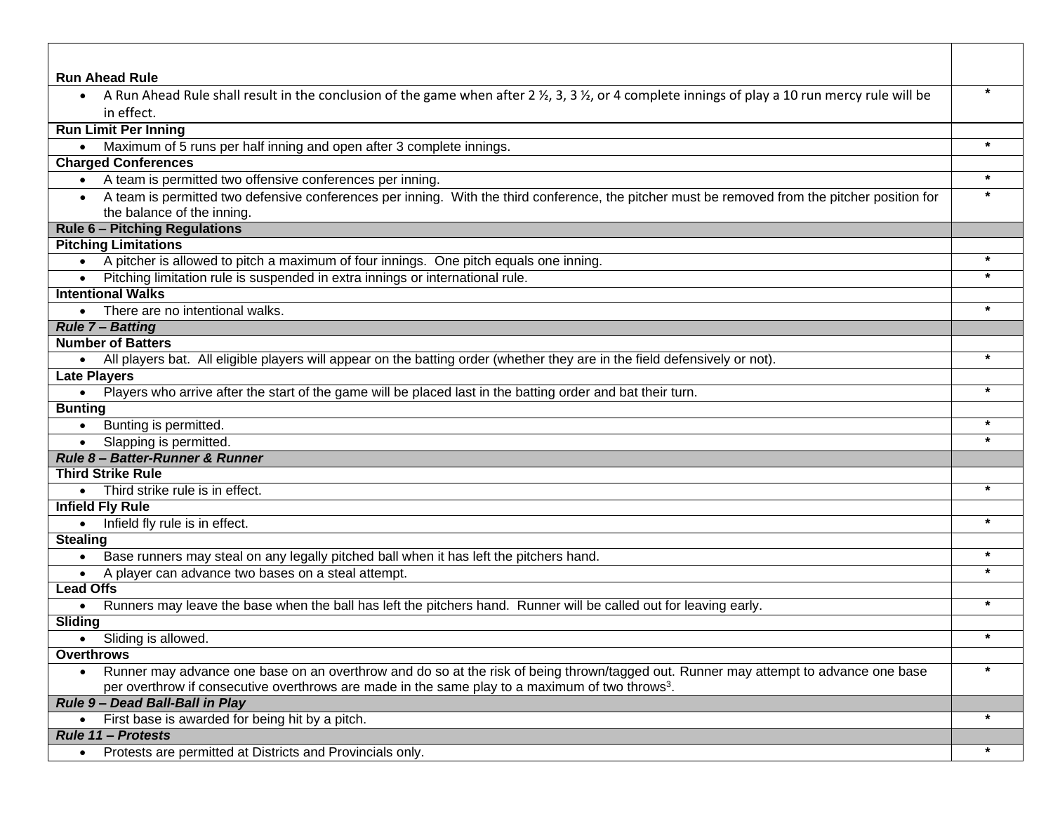| <b>Run Ahead Rule</b>                                                                                                                                                   |         |
|-------------------------------------------------------------------------------------------------------------------------------------------------------------------------|---------|
| A Run Ahead Rule shall result in the conclusion of the game when after 2 $\frac{1}{2}$ , 3, 3 $\frac{1}{2}$ , or 4 complete innings of play a 10 run mercy rule will be | $\star$ |
| in effect.                                                                                                                                                              |         |
| <b>Run Limit Per Inning</b>                                                                                                                                             |         |
| Maximum of 5 runs per half inning and open after 3 complete innings.                                                                                                    |         |
| <b>Charged Conferences</b>                                                                                                                                              |         |
| • A team is permitted two offensive conferences per inning.                                                                                                             |         |
| • A team is permitted two defensive conferences per inning. With the third conference, the pitcher must be removed from the pitcher position for                        | $\star$ |
| the balance of the inning.                                                                                                                                              |         |
| <b>Rule 6 - Pitching Regulations</b>                                                                                                                                    |         |
| <b>Pitching Limitations</b>                                                                                                                                             |         |
| • A pitcher is allowed to pitch a maximum of four innings. One pitch equals one inning.                                                                                 | $\star$ |
| Pitching limitation rule is suspended in extra innings or international rule.                                                                                           |         |
| <b>Intentional Walks</b>                                                                                                                                                |         |
| • There are no intentional walks.                                                                                                                                       |         |
| <b>Rule 7 - Batting</b>                                                                                                                                                 |         |
| <b>Number of Batters</b>                                                                                                                                                | $\star$ |
| All players bat. All eligible players will appear on the batting order (whether they are in the field defensively or not).                                              |         |
| <b>Late Players</b>                                                                                                                                                     |         |
| Players who arrive after the start of the game will be placed last in the batting order and bat their turn.                                                             |         |
| <b>Bunting</b>                                                                                                                                                          |         |
| Bunting is permitted.<br>$\bullet$                                                                                                                                      |         |
| Slapping is permitted.<br>$\bullet$<br>Rule 8- Batter-Runner & Runner                                                                                                   |         |
| <b>Third Strike Rule</b>                                                                                                                                                |         |
| • Third strike rule is in effect.                                                                                                                                       | $\star$ |
| <b>Infield Fly Rule</b>                                                                                                                                                 |         |
| • Infield fly rule is in effect.                                                                                                                                        | $\star$ |
| <b>Stealing</b>                                                                                                                                                         |         |
| Base runners may steal on any legally pitched ball when it has left the pitchers hand.<br>$\bullet$                                                                     | $\star$ |
| A player can advance two bases on a steal attempt.<br>$\bullet$                                                                                                         | $\star$ |
| <b>Lead Offs</b>                                                                                                                                                        |         |
| Runners may leave the base when the ball has left the pitchers hand. Runner will be called out for leaving early.                                                       | $\star$ |
| Sliding                                                                                                                                                                 |         |
| Sliding is allowed.                                                                                                                                                     |         |
| <b>Overthrows</b>                                                                                                                                                       |         |
| Runner may advance one base on an overthrow and do so at the risk of being thrown/tagged out. Runner may attempt to advance one base                                    | $\star$ |
| per overthrow if consecutive overthrows are made in the same play to a maximum of two throws <sup>3</sup> .                                                             |         |
| Rule 9- Dead Ball-Ball in Play                                                                                                                                          |         |
| First base is awarded for being hit by a pitch.                                                                                                                         |         |
| <b>Rule 11 - Protests</b>                                                                                                                                               |         |
| Protests are permitted at Districts and Provincials only.                                                                                                               | $\ast$  |